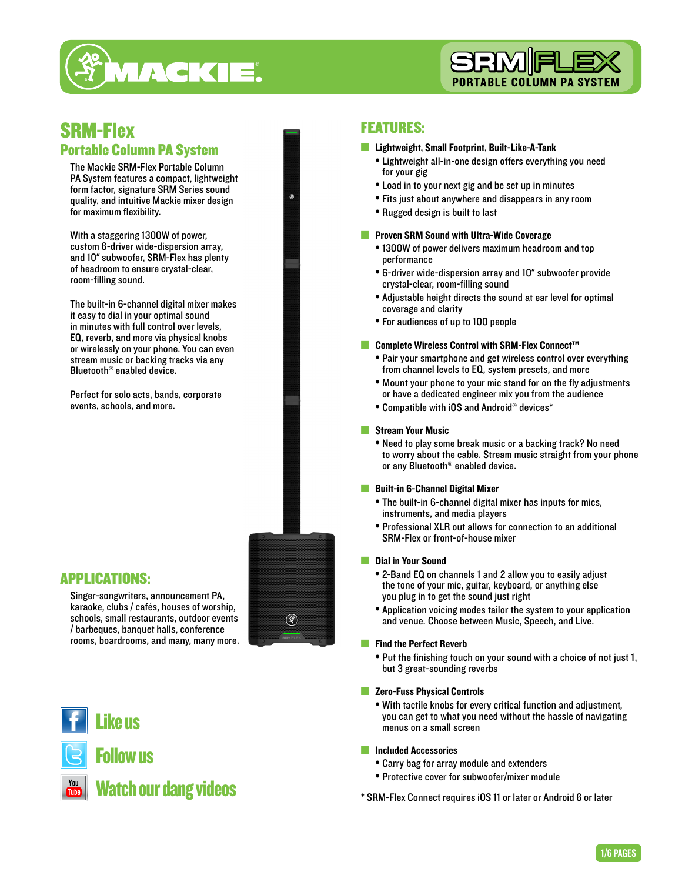



## SRM-Flex Portable Column PA System

The Mackie SRM-Flex Portable Column PA System features a compact, lightweight form factor, signature SRM Series sound quality, and intuitive Mackie mixer design for maximum flexibility.

With a staggering 1300W of power, custom 6-driver wide-dispersion array, and 10" subwoofer, SRM-Flex has plenty of headroom to ensure crystal-clear, room-filling sound.

The built-in 6-channel digital mixer makes it easy to dial in your optimal sound in minutes with full control over levels, EQ, reverb, and more via physical knobs or wirelessly on your phone. You can even stream music or backing tracks via any Bluetooth® enabled device.

Perfect for solo acts, bands, corporate events, schools, and more.

### APPLICATIONS:

Singer-songwriters, announcement PA, karaoke, clubs / cafés, houses of worship, schools, small restaurants, outdoor events / barbeques, banquet halls, conference rooms, boardrooms, and many, many more.

Like us

# Follow us

# Watch our dang videos

### FEATURES:

#### ■ Lightweight, Small Footprint, Built-Like-A-Tank

- Lightweight all-in-one design offers everything you need for your gig
- Load in to your next gig and be set up in minutes
- Fits just about anywhere and disappears in any room
- Rugged design is built to last

#### ■ Proven SRM Sound with Ultra-Wide Coverage

- 1300W of power delivers maximum headroom and top performance
- 6-driver wide-dispersion array and 10" subwoofer provide crystal-clear, room-filling sound
- Adjustable height directs the sound at ear level for optimal coverage and clarity
- For audiences of up to 100 people

#### ■ Complete Wireless Control with SRM-Flex Connect™

- Pair your smartphone and get wireless control over everything from channel levels to EQ, system presets, and more
- Mount your phone to your mic stand for on the fly adjustments or have a dedicated engineer mix you from the audience
- Compatible with iOS and Android® devices\*

#### ■ Stream Your Music

• Need to play some break music or a backing track? No need to worry about the cable. Stream music straight from your phone or any Bluetooth® enabled device.

#### ■ Built-in 6-Channel Digital Mixer

- The built-in 6-channel digital mixer has inputs for mics, instruments, and media players
- Professional XLR out allows for connection to an additional SRM-Flex or front-of-house mixer

#### ■ Dial in Your Sound

(\$)

- 2-Band EQ on channels 1 and 2 allow you to easily adjust the tone of your mic, guitar, keyboard, or anything else you plug in to get the sound just right
- Application voicing modes tailor the system to your application and venue. Choose between Music, Speech, and Live.

#### ■ Find the Perfect Reverb

- Put the finishing touch on your sound with a choice of not just 1, but 3 great-sounding reverbs
- Zero-Fuss Physical Controls
	- With tactile knobs for every critical function and adjustment, you can get to what you need without the hassle of navigating menus on a small screen
- Included Accessories
	- Carry bag for array module and extenders
	- Protective cover for subwoofer/mixer module
- \* SRM-Flex Connect requires iOS 11 or later or Android 6 or later

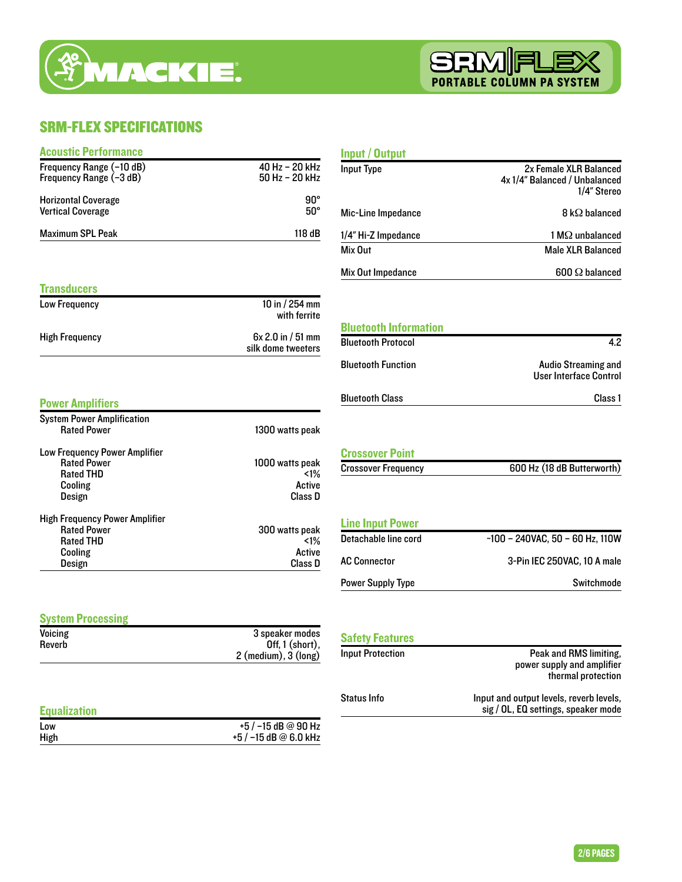



### SRM-FLEX SPECIFICATIONS

| <b>Acoustic Performance</b>                         |                                             | <b>Input / Output</b>                           |                                                                                |
|-----------------------------------------------------|---------------------------------------------|-------------------------------------------------|--------------------------------------------------------------------------------|
| Frequency Range (-10 dB)<br>Frequency Range (-3 dB) | 40 Hz - 20 kHz<br>50 Hz - 20 kHz            | <b>Input Type</b>                               | 2x Female XLR Balanced<br>4x 1/4" Balanced / Unbalanced<br>1/4" Stereo         |
| <b>Horizontal Coverage</b>                          | $90^\circ$                                  |                                                 |                                                                                |
| <b>Vertical Coverage</b>                            | $50^\circ$                                  | Mic-Line Impedance                              | $8 \, \mathrm{k}\Omega$ balanced                                               |
| <b>Maximum SPL Peak</b>                             | 118 dB                                      | 1/4" Hi-Z Impedance                             | $1 M\Omega$ unbalanced                                                         |
|                                                     |                                             | Mix Out                                         | <b>Male XLR Balanced</b>                                                       |
|                                                     |                                             | Mix Out Impedance                               | 600 $\Omega$ balanced                                                          |
| <b>Transducers</b>                                  |                                             |                                                 |                                                                                |
| Low Frequency                                       | 10 in / 254 mm<br>with ferrite              |                                                 |                                                                                |
| <b>High Frequency</b>                               | 6x 2.0 in / 51 mm                           | <b>Bluetooth Information</b>                    |                                                                                |
|                                                     | silk dome tweeters                          | <b>Bluetooth Protocol</b>                       | 4.2                                                                            |
|                                                     |                                             | <b>Bluetooth Function</b>                       | <b>Audio Streaming and</b><br><b>User Interface Control</b>                    |
| <b>Power Amplifiers</b>                             |                                             | <b>Bluetooth Class</b>                          | Class 1                                                                        |
| <b>System Power Amplification</b>                   |                                             |                                                 |                                                                                |
| <b>Rated Power</b>                                  | 1300 watts peak                             |                                                 |                                                                                |
| Low Frequency Power Amplifier                       |                                             | <b>Crossover Point</b>                          |                                                                                |
| <b>Rated Power</b>                                  | 1000 watts peak                             | <b>Crossover Frequency</b>                      | 600 Hz (18 dB Butterworth)                                                     |
| <b>Rated THD</b><br>Cooling                         | $1\%$<br>Active                             |                                                 |                                                                                |
| Design                                              | Class D                                     |                                                 |                                                                                |
| <b>High Frequency Power Amplifier</b>               |                                             |                                                 |                                                                                |
| <b>Rated Power</b>                                  | 300 watts peak                              | <b>Line Input Power</b><br>Detachable line cord | $-100 - 240$ VAC, $50 - 60$ Hz, $110$ W                                        |
| <b>Rated THD</b><br>Cooling                         | $1\%$<br>Active                             |                                                 |                                                                                |
| Design                                              | Class D                                     | <b>AC Connector</b>                             | 3-Pin IEC 250VAC, 10 A male                                                    |
|                                                     |                                             | <b>Power Supply Type</b>                        | Switchmode                                                                     |
| <b>System Processing</b>                            |                                             |                                                 |                                                                                |
| Voicing                                             | 3 speaker modes                             | <b>Safety Features</b>                          |                                                                                |
| Reverb                                              | Off, 1 (short),<br>$2$ (medium), $3$ (long) | <b>Input Protection</b>                         | Peak and RMS limiting,                                                         |
|                                                     |                                             |                                                 | power supply and amplifier<br>thermal protection                               |
| <b>Equalization</b>                                 |                                             | <b>Status Info</b>                              | Input and output levels, reverb levels,<br>sig / OL, EQ settings, speaker mode |
| Low                                                 | +5 / -15 dB @ 90 Hz                         |                                                 |                                                                                |
| High                                                | +5 / -15 dB @ 6.0 kHz                       |                                                 |                                                                                |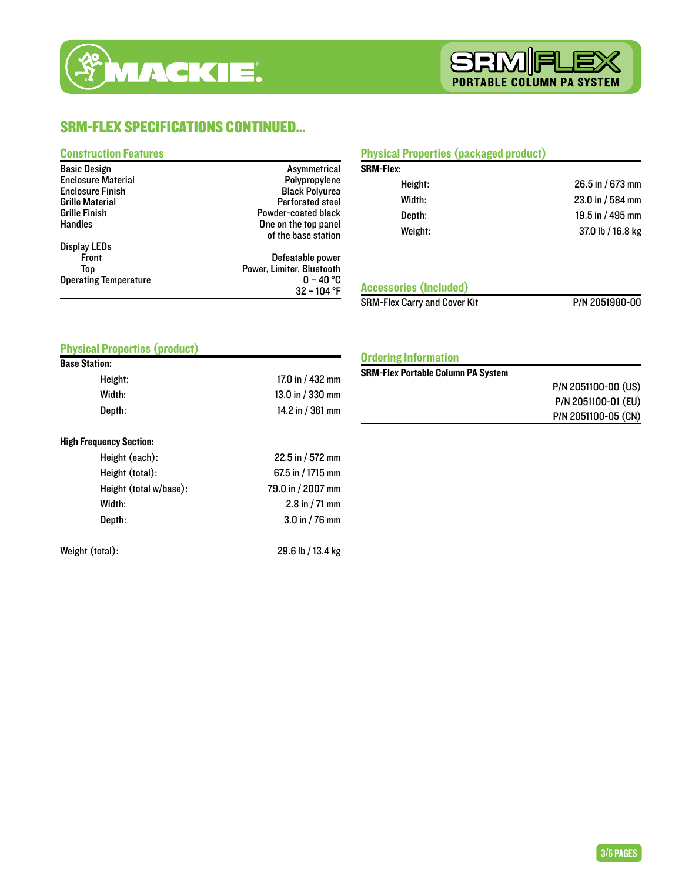

### SRM-FLEX SPECIFICATIONS CONTINUED...

### Construction Features

| <b>Basic Design</b>          | Asymmetrical              |
|------------------------------|---------------------------|
| <b>Enclosure Material</b>    | Polypropylene             |
| <b>Enclosure Finish</b>      | <b>Black Polyurea</b>     |
| <b>Grille Material</b>       | <b>Perforated steel</b>   |
| <b>Grille Finish</b>         | Powder-coated black       |
| <b>Handles</b>               | One on the top panel      |
|                              | of the base station       |
| <b>Display LEDs</b>          |                           |
| <b>Front</b>                 | Defeatable power          |
| Top                          | Power, Limiter, Bluetooth |
| <b>Operating Temperature</b> | $0$ – 40 °C               |
|                              | $32 - 104$ °F             |

### Physical Properties (packaged product)

| <b>SRM-Flex:</b> |                    |
|------------------|--------------------|
| Height:          | 26.5 in / 673 mm   |
| Width:           | 23.0 in / 584 mm   |
| Depth:           | 19.5 in $/$ 495 mm |
| Weight:          | 37.0 lb / 16.8 kg  |

### Accessories (Included)

SRM-Flex Carry and Cover Kit P/N 2051980-00

### Physical Properties (product) Base Station:

| UII:    |                    |
|---------|--------------------|
| Height: | 17.0 in $/$ 432 mm |
| Width:  | 13.0 in / 330 mm   |
| Depth:  | 14.2 in $/$ 361 mm |
|         |                    |

#### High Frequency Section:

| Height (each):         | 22.5 in / 572 mm  |
|------------------------|-------------------|
| Height (total):        | 67.5 in / 1715 mm |
| Height (total w/base): | 79.0 in / 2007 mm |
| Width:                 | 2.8 in $/$ 71 mm  |
| Depth:                 | $3.0$ in / 76 mm  |
|                        |                   |

Weight (total): 29.6 lb / 13.4 kg

Ordering Information

#### SRM-Flex Portable Column PA System

| P/N 2051100-00 (US) |
|---------------------|
| P/N 2051100-01 (EU) |
| P/N 2051100-05 (CN) |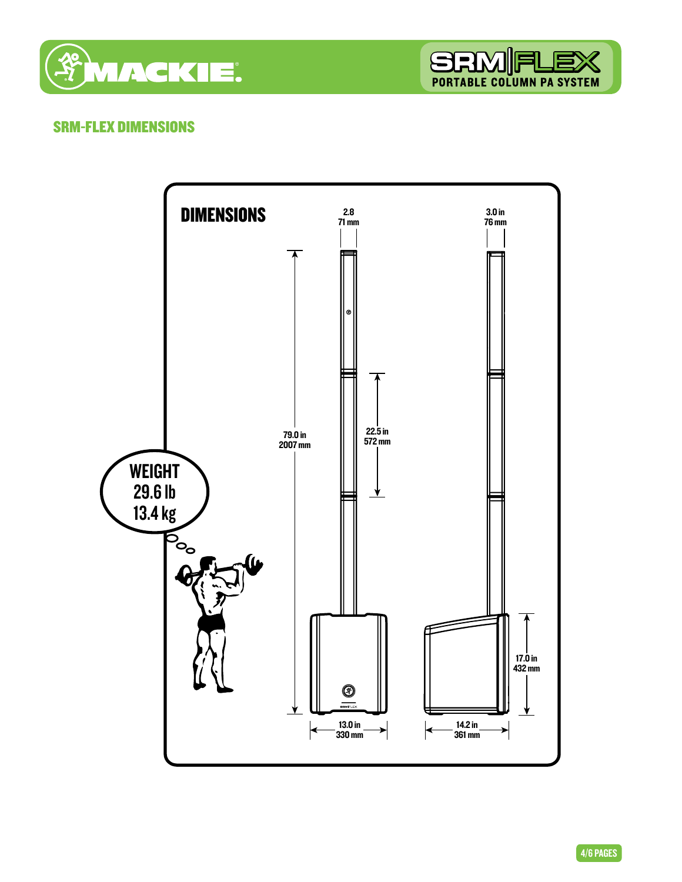



### SRM-FLEX DIMENSIONS



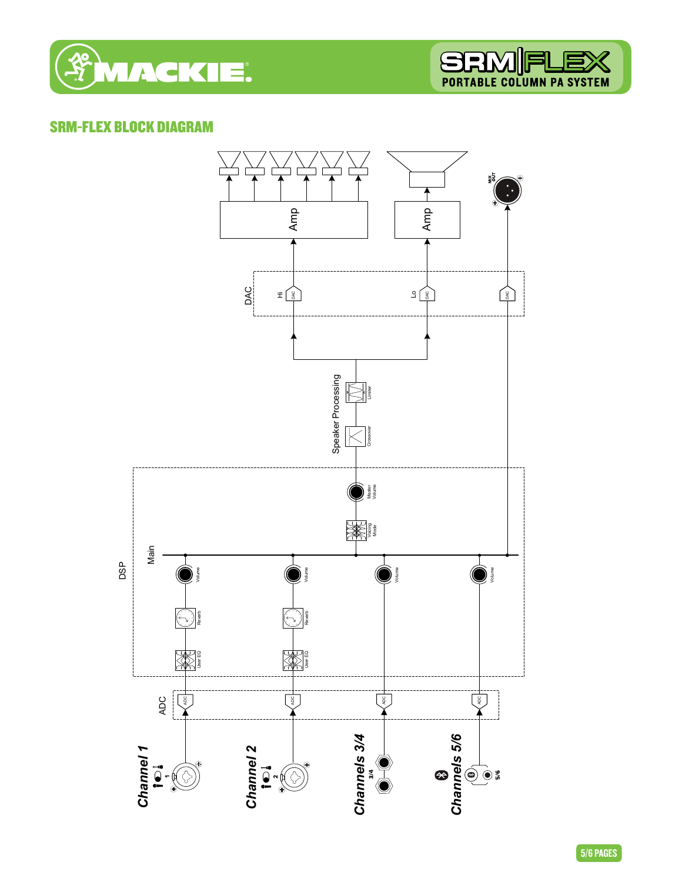

### SRM-FLEX BLOCK DIAGRAM